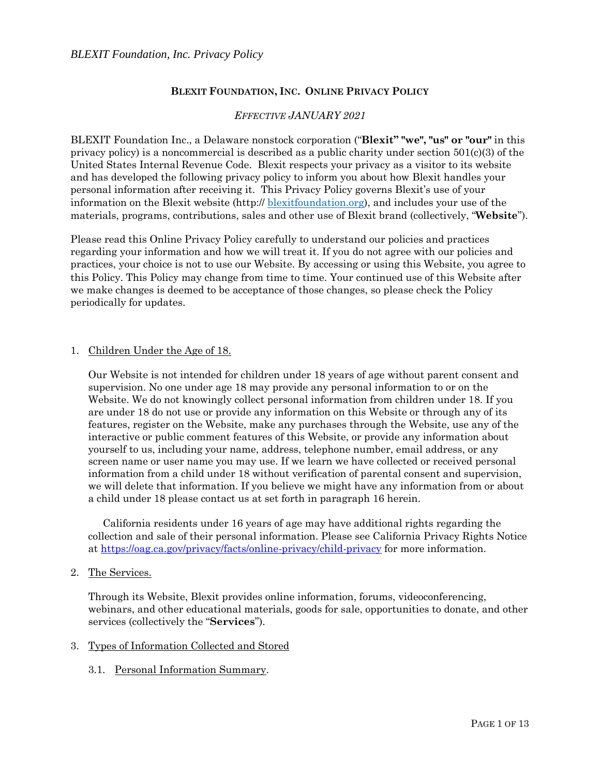## **BLEXIT FOUNDATION, INC. ONLINE PRIVACY POLICY**

## *EFFECTIVE JANUARY 2021*

BLEXIT Foundation Inc., a Delaware nonstock corporation ("**Blexit" "we", "us" or "our"** in this privacy policy) is a noncommercial is described as a public charity under section  $501(c)(3)$  of the United States Internal Revenue Code. Blexit respects your privacy as a visitor to its website and has developed the following privacy policy to inform you about how Blexit handles your personal information after receiving it. This Privacy Policy governs Blexit's use of your information on the Blexit website (http:// [blexitfoundation.org\)](http://edutest.kbb1.com/), and includes your use of the materials, programs, contributions, sales and other use of Blexit brand (collectively, "**Website**").

Please read this Online Privacy Policy carefully to understand our policies and practices regarding your information and how we will treat it. If you do not agree with our policies and practices, your choice is not to use our Website. By accessing or using this Website, you agree to this Policy. This Policy may change from time to time. Your continued use of this Website after we make changes is deemed to be acceptance of those changes, so please check the Policy periodically for updates.

#### 1. Children Under the Age of 18.

Our Website is not intended for children under 18 years of age without parent consent and supervision. No one under age 18 may provide any personal information to or on the Website. We do not knowingly collect personal information from children under 18. If you are under 18 do not use or provide any information on this Website or through any of its features, register on the Website, make any purchases through the Website, use any of the interactive or public comment features of this Website, or provide any information about yourself to us, including your name, address, telephone number, email address, or any screen name or user name you may use. If we learn we have collected or received personal information from a child under 18 without verification of parental consent and supervision, we will delete that information. If you believe we might have any information from or about a child under 18 please contact us at set forth in paragraph 16 herein.

 California residents under 16 years of age may have additional rights regarding the collection and sale of their personal information. Please see California Privacy Rights Notice at<https://oag.ca.gov/privacy/facts/online-privacy/child-privacy> for more information.

2. The Services.

Through its Website, Blexit provides online information, forums, videoconferencing, webinars, and other educational materials, goods for sale, opportunities to donate, and other services (collectively the "**Services**").

## 3. Types of Information Collected and Stored

3.1. Personal Information Summary.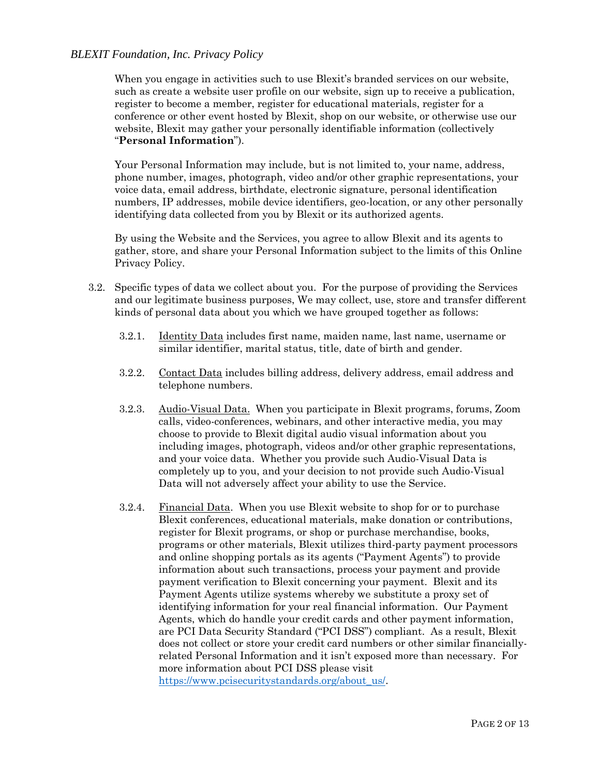When you engage in activities such to use Blexit's branded services on our website, such as create a website user profile on our website, sign up to receive a publication, register to become a member, register for educational materials, register for a conference or other event hosted by Blexit, shop on our website, or otherwise use our website, Blexit may gather your personally identifiable information (collectively "**Personal Information**").

Your Personal Information may include, but is not limited to, your name, address, phone number, images, photograph, video and/or other graphic representations, your voice data, email address, birthdate, electronic signature, personal identification numbers, IP addresses, mobile device identifiers, geo-location, or any other personally identifying data collected from you by Blexit or its authorized agents.

By using the Website and the Services, you agree to allow Blexit and its agents to gather, store, and share your Personal Information subject to the limits of this Online Privacy Policy.

- 3.2. Specific types of data we collect about you. For the purpose of providing the Services and our legitimate business purposes, We may collect, use, store and transfer different kinds of personal data about you which we have grouped together as follows:
	- 3.2.1. Identity Data includes first name, maiden name, last name, username or similar identifier, marital status, title, date of birth and gender.
	- 3.2.2. Contact Data includes billing address, delivery address, email address and telephone numbers.
	- 3.2.3. Audio-Visual Data. When you participate in Blexit programs, forums, Zoom calls, video-conferences, webinars, and other interactive media, you may choose to provide to Blexit digital audio visual information about you including images, photograph, videos and/or other graphic representations, and your voice data. Whether you provide such Audio-Visual Data is completely up to you, and your decision to not provide such Audio-Visual Data will not adversely affect your ability to use the Service.
	- 3.2.4. Financial Data. When you use Blexit website to shop for or to purchase Blexit conferences, educational materials, make donation or contributions, register for Blexit programs, or shop or purchase merchandise, books, programs or other materials, Blexit utilizes third-party payment processors and online shopping portals as its agents ("Payment Agents") to provide information about such transactions, process your payment and provide payment verification to Blexit concerning your payment. Blexit and its Payment Agents utilize systems whereby we substitute a proxy set of identifying information for your real financial information. Our Payment Agents, which do handle your credit cards and other payment information, are PCI Data Security Standard ("PCI DSS") compliant. As a result, Blexit does not collect or store your credit card numbers or other similar financiallyrelated Personal Information and it isn't exposed more than necessary. For more information about PCI DSS please visit [https://www.pcisecuritystandards.org/about\\_us/.](https://www.pcisecuritystandards.org/about_us/)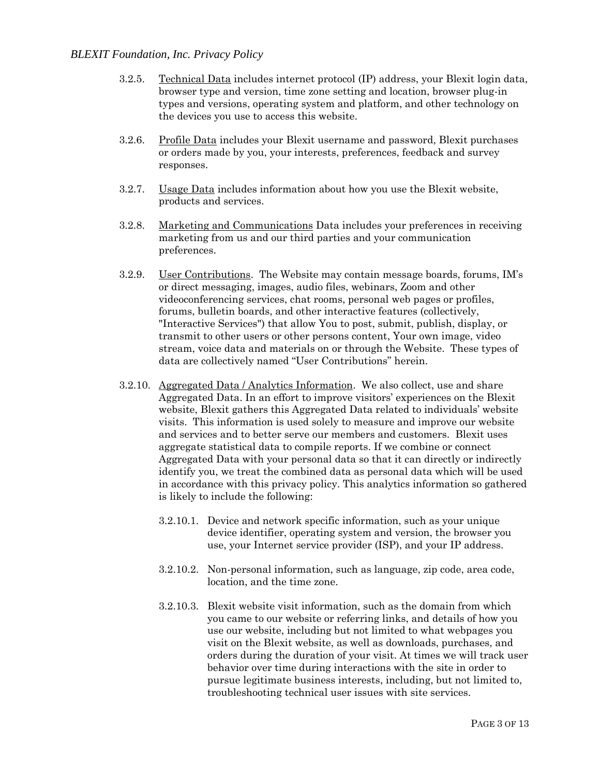- 3.2.5. Technical Data includes internet protocol (IP) address, your Blexit login data, browser type and version, time zone setting and location, browser plug-in types and versions, operating system and platform, and other technology on the devices you use to access this website.
- 3.2.6. Profile Data includes your Blexit username and password, Blexit purchases or orders made by you, your interests, preferences, feedback and survey responses.
- 3.2.7. Usage Data includes information about how you use the Blexit website, products and services.
- 3.2.8. Marketing and Communications Data includes your preferences in receiving marketing from us and our third parties and your communication preferences.
- 3.2.9. User Contributions. The Website may contain message boards, forums, IM's or direct messaging, images, audio files, webinars, Zoom and other videoconferencing services, chat rooms, personal web pages or profiles, forums, bulletin boards, and other interactive features (collectively, "Interactive Services") that allow You to post, submit, publish, display, or transmit to other users or other persons content, Your own image, video stream, voice data and materials on or through the Website. These types of data are collectively named "User Contributions" herein.
- 3.2.10. Aggregated Data / Analytics Information. We also collect, use and share Aggregated Data. In an effort to improve visitors' experiences on the Blexit website, Blexit gathers this Aggregated Data related to individuals' website visits. This information is used solely to measure and improve our website and services and to better serve our members and customers. Blexit uses aggregate statistical data to compile reports. If we combine or connect Aggregated Data with your personal data so that it can directly or indirectly identify you, we treat the combined data as personal data which will be used in accordance with this privacy policy. This analytics information so gathered is likely to include the following:
	- 3.2.10.1. Device and network specific information, such as your unique device identifier, operating system and version, the browser you use, your Internet service provider (ISP), and your IP address.
	- 3.2.10.2. Non-personal information, such as language, zip code, area code, location, and the time zone.
	- 3.2.10.3. Blexit website visit information, such as the domain from which you came to our website or referring links, and details of how you use our website, including but not limited to what webpages you visit on the Blexit website, as well as downloads, purchases, and orders during the duration of your visit. At times we will track user behavior over time during interactions with the site in order to pursue legitimate business interests, including, but not limited to, troubleshooting technical user issues with site services.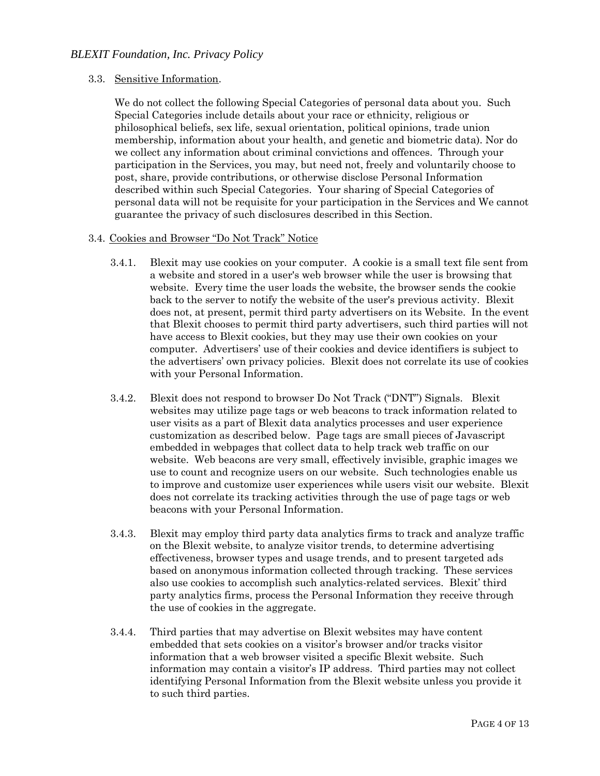### 3.3. Sensitive Information.

We do not collect the following Special Categories of personal data about you. Such Special Categories include details about your race or ethnicity, religious or philosophical beliefs, sex life, sexual orientation, political opinions, trade union membership, information about your health, and genetic and biometric data). Nor do we collect any information about criminal convictions and offences. Through your participation in the Services, you may, but need not, freely and voluntarily choose to post, share, provide contributions, or otherwise disclose Personal Information described within such Special Categories. Your sharing of Special Categories of personal data will not be requisite for your participation in the Services and We cannot guarantee the privacy of such disclosures described in this Section.

### 3.4. Cookies and Browser "Do Not Track" Notice

- 3.4.1. Blexit may use cookies on your computer. A cookie is a small text file sent from a website and stored in a user's web browser while the user is browsing that website. Every time the user loads the website, the browser sends the cookie back to the server to notify the website of the user's previous activity. Blexit does not, at present, permit third party advertisers on its Website. In the event that Blexit chooses to permit third party advertisers, such third parties will not have access to Blexit cookies, but they may use their own cookies on your computer. Advertisers' use of their cookies and device identifiers is subject to the advertisers' own privacy policies. Blexit does not correlate its use of cookies with your Personal Information.
- 3.4.2. Blexit does not respond to browser Do Not Track ("DNT") Signals. Blexit websites may utilize page tags or web beacons to track information related to user visits as a part of Blexit data analytics processes and user experience customization as described below. Page tags are small pieces of Javascript embedded in webpages that collect data to help track web traffic on our website. Web beacons are very small, effectively invisible, graphic images we use to count and recognize users on our website. Such technologies enable us to improve and customize user experiences while users visit our website. Blexit does not correlate its tracking activities through the use of page tags or web beacons with your Personal Information.
- 3.4.3. Blexit may employ third party data analytics firms to track and analyze traffic on the Blexit website, to analyze visitor trends, to determine advertising effectiveness, browser types and usage trends, and to present targeted ads based on anonymous information collected through tracking. These services also use cookies to accomplish such analytics-related services. Blexit' third party analytics firms, process the Personal Information they receive through the use of cookies in the aggregate.
- 3.4.4. Third parties that may advertise on Blexit websites may have content embedded that sets cookies on a visitor's browser and/or tracks visitor information that a web browser visited a specific Blexit website. Such information may contain a visitor's IP address. Third parties may not collect identifying Personal Information from the Blexit website unless you provide it to such third parties.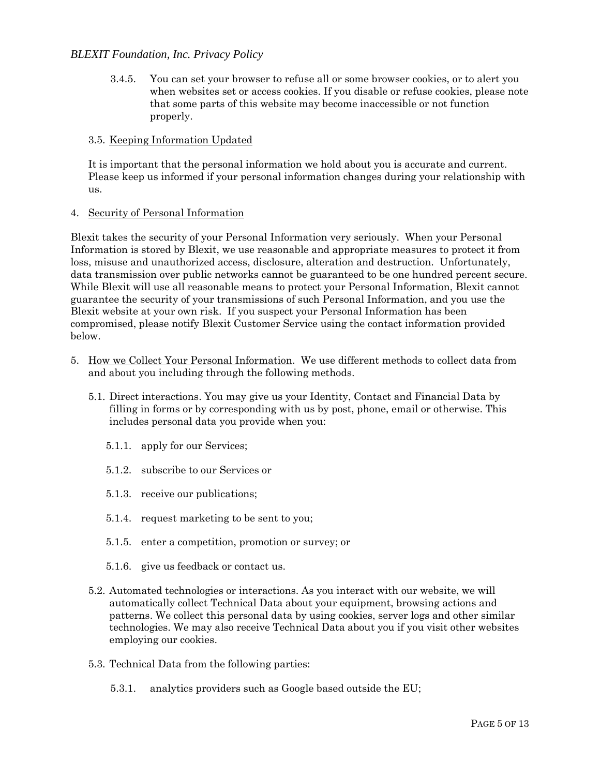3.4.5. You can set your browser to refuse all or some browser cookies, or to alert you when websites set or access cookies. If you disable or refuse cookies, please note that some parts of this website may become inaccessible or not function properly.

### 3.5. Keeping Information Updated

It is important that the personal information we hold about you is accurate and current. Please keep us informed if your personal information changes during your relationship with us.

#### 4. Security of Personal Information

Blexit takes the security of your Personal Information very seriously. When your Personal Information is stored by Blexit, we use reasonable and appropriate measures to protect it from loss, misuse and unauthorized access, disclosure, alteration and destruction. Unfortunately, data transmission over public networks cannot be guaranteed to be one hundred percent secure. While Blexit will use all reasonable means to protect your Personal Information, Blexit cannot guarantee the security of your transmissions of such Personal Information, and you use the Blexit website at your own risk. If you suspect your Personal Information has been compromised, please notify Blexit Customer Service using the contact information provided below.

- 5. How we Collect Your Personal Information. We use different methods to collect data from and about you including through the following methods.
	- 5.1. Direct interactions. You may give us your Identity, Contact and Financial Data by filling in forms or by corresponding with us by post, phone, email or otherwise. This includes personal data you provide when you:
		- 5.1.1. apply for our Services;
		- 5.1.2. subscribe to our Services or
		- 5.1.3. receive our publications;
		- 5.1.4. request marketing to be sent to you;
		- 5.1.5. enter a competition, promotion or survey; or
		- 5.1.6. give us feedback or contact us.
	- 5.2. Automated technologies or interactions. As you interact with our website, we will automatically collect Technical Data about your equipment, browsing actions and patterns. We collect this personal data by using cookies, server logs and other similar technologies. We may also receive Technical Data about you if you visit other websites employing our cookies.
	- 5.3. Technical Data from the following parties:
		- 5.3.1. analytics providers such as Google based outside the EU;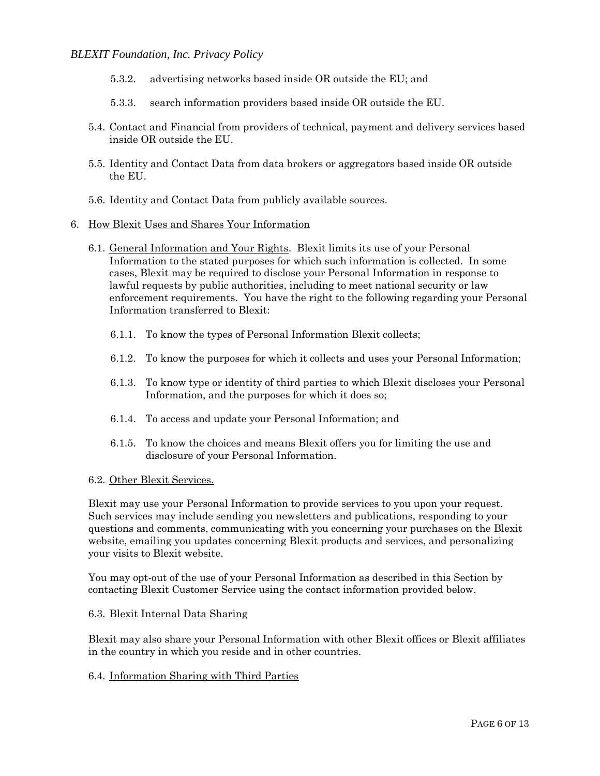- 5.3.2. advertising networks based inside OR outside the EU; and
- 5.3.3. search information providers based inside OR outside the EU.
- 5.4. Contact and Financial from providers of technical, payment and delivery services based inside OR outside the EU.
- 5.5. Identity and Contact Data from data brokers or aggregators based inside OR outside the EU.
- 5.6. Identity and Contact Data from publicly available sources.
- 6. How Blexit Uses and Shares Your Information
	- 6.1. General Information and Your Rights. Blexit limits its use of your Personal Information to the stated purposes for which such information is collected. In some cases, Blexit may be required to disclose your Personal Information in response to lawful requests by public authorities, including to meet national security or law enforcement requirements. You have the right to the following regarding your Personal Information transferred to Blexit:
		- 6.1.1. To know the types of Personal Information Blexit collects;
		- 6.1.2. To know the purposes for which it collects and uses your Personal Information;
		- 6.1.3. To know type or identity of third parties to which Blexit discloses your Personal Information, and the purposes for which it does so;
		- 6.1.4. To access and update your Personal Information; and
		- 6.1.5. To know the choices and means Blexit offers you for limiting the use and disclosure of your Personal Information.

#### 6.2. Other Blexit Services.

Blexit may use your Personal Information to provide services to you upon your request. Such services may include sending you newsletters and publications, responding to your questions and comments, communicating with you concerning your purchases on the Blexit website, emailing you updates concerning Blexit products and services, and personalizing your visits to Blexit website.

You may opt-out of the use of your Personal Information as described in this Section by contacting Blexit Customer Service using the contact information provided below.

### 6.3. Blexit Internal Data Sharing

Blexit may also share your Personal Information with other Blexit offices or Blexit affiliates in the country in which you reside and in other countries.

#### 6.4. Information Sharing with Third Parties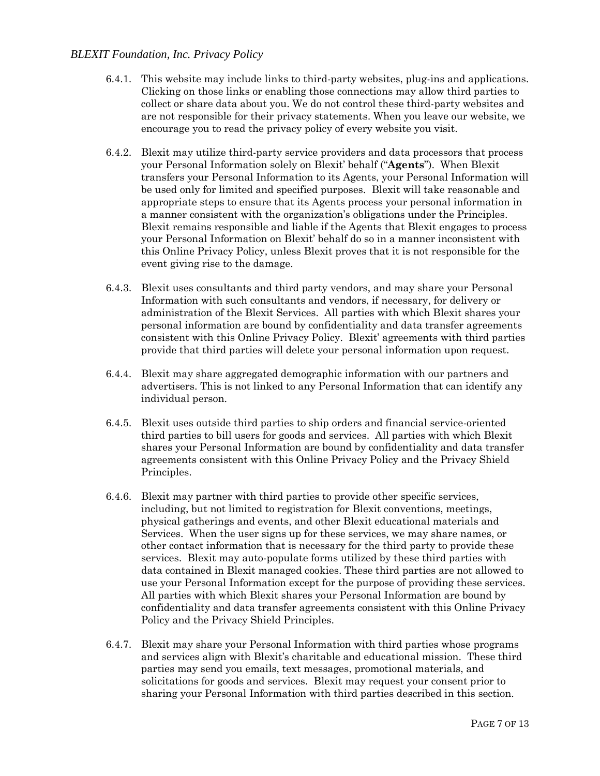- 6.4.1. This website may include links to third-party websites, plug-ins and applications. Clicking on those links or enabling those connections may allow third parties to collect or share data about you. We do not control these third-party websites and are not responsible for their privacy statements. When you leave our website, we encourage you to read the privacy policy of every website you visit.
- 6.4.2. Blexit may utilize third-party service providers and data processors that process your Personal Information solely on Blexit' behalf ("**Agents**"). When Blexit transfers your Personal Information to its Agents, your Personal Information will be used only for limited and specified purposes. Blexit will take reasonable and appropriate steps to ensure that its Agents process your personal information in a manner consistent with the organization's obligations under the Principles. Blexit remains responsible and liable if the Agents that Blexit engages to process your Personal Information on Blexit' behalf do so in a manner inconsistent with this Online Privacy Policy, unless Blexit proves that it is not responsible for the event giving rise to the damage.
- 6.4.3. Blexit uses consultants and third party vendors, and may share your Personal Information with such consultants and vendors, if necessary, for delivery or administration of the Blexit Services. All parties with which Blexit shares your personal information are bound by confidentiality and data transfer agreements consistent with this Online Privacy Policy. Blexit' agreements with third parties provide that third parties will delete your personal information upon request.
- 6.4.4. Blexit may share aggregated demographic information with our partners and advertisers. This is not linked to any Personal Information that can identify any individual person.
- 6.4.5. Blexit uses outside third parties to ship orders and financial service-oriented third parties to bill users for goods and services. All parties with which Blexit shares your Personal Information are bound by confidentiality and data transfer agreements consistent with this Online Privacy Policy and the Privacy Shield Principles.
- 6.4.6. Blexit may partner with third parties to provide other specific services, including, but not limited to registration for Blexit conventions, meetings, physical gatherings and events, and other Blexit educational materials and Services. When the user signs up for these services, we may share names, or other contact information that is necessary for the third party to provide these services. Blexit may auto-populate forms utilized by these third parties with data contained in Blexit managed cookies. These third parties are not allowed to use your Personal Information except for the purpose of providing these services. All parties with which Blexit shares your Personal Information are bound by confidentiality and data transfer agreements consistent with this Online Privacy Policy and the Privacy Shield Principles.
- 6.4.7. Blexit may share your Personal Information with third parties whose programs and services align with Blexit's charitable and educational mission. These third parties may send you emails, text messages, promotional materials, and solicitations for goods and services. Blexit may request your consent prior to sharing your Personal Information with third parties described in this section.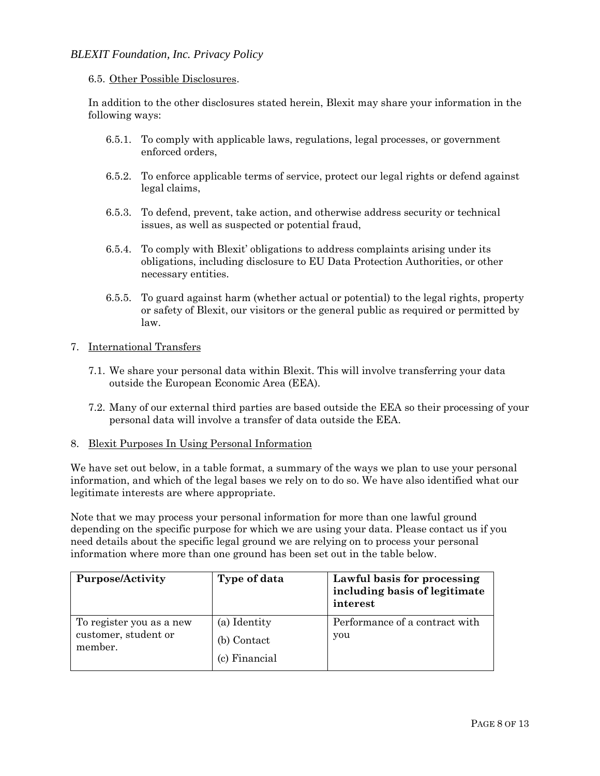### 6.5. Other Possible Disclosures.

In addition to the other disclosures stated herein, Blexit may share your information in the following ways:

- 6.5.1. To comply with applicable laws, regulations, legal processes, or government enforced orders,
- 6.5.2. To enforce applicable terms of service, protect our legal rights or defend against legal claims,
- 6.5.3. To defend, prevent, take action, and otherwise address security or technical issues, as well as suspected or potential fraud,
- 6.5.4. To comply with Blexit' obligations to address complaints arising under its obligations, including disclosure to EU Data Protection Authorities, or other necessary entities.
- 6.5.5. To guard against harm (whether actual or potential) to the legal rights, property or safety of Blexit, our visitors or the general public as required or permitted by law.

### 7. International Transfers

- 7.1. We share your personal data within Blexit. This will involve transferring your data outside the European Economic Area (EEA).
- 7.2. Many of our external third parties are based outside the EEA so their processing of your personal data will involve a transfer of data outside the EEA.

#### 8. Blexit Purposes In Using Personal Information

We have set out below, in a table format, a summary of the ways we plan to use your personal information, and which of the legal bases we rely on to do so. We have also identified what our legitimate interests are where appropriate.

Note that we may process your personal information for more than one lawful ground depending on the specific purpose for which we are using your data. Please contact us if you need details about the specific legal ground we are relying on to process your personal information where more than one ground has been set out in the table below.

| <b>Purpose/Activity</b>                                     | Type of data                                 | Lawful basis for processing<br>including basis of legitimate<br>interest |
|-------------------------------------------------------------|----------------------------------------------|--------------------------------------------------------------------------|
| To register you as a new<br>customer, student or<br>member. | (a) Identity<br>(b) Contact<br>(c) Financial | Performance of a contract with<br>you                                    |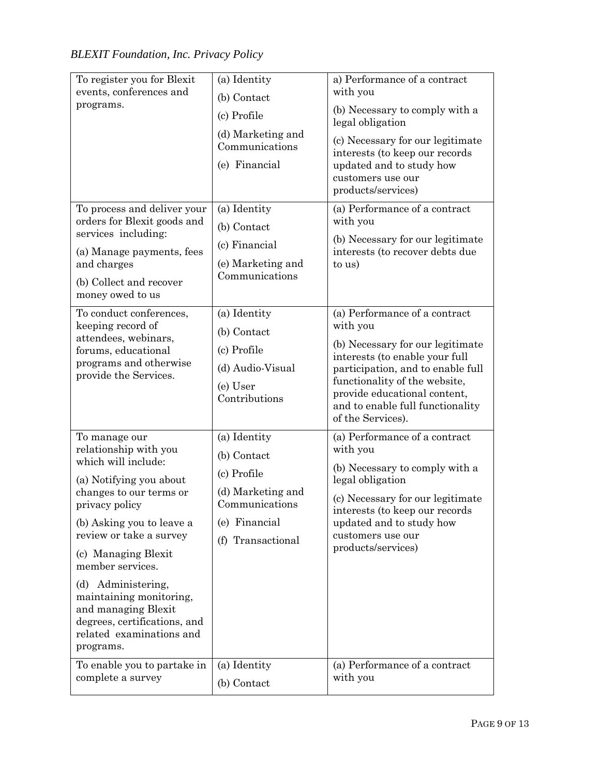| To register you for Blexit<br>events, conferences and<br>programs.                                                                                                                                                                                                                                                                                                                                                       | (a) Identity<br>(b) Contact<br>(c) Profile<br>(d) Marketing and<br>Communications<br>(e) Financial                                      | a) Performance of a contract<br>with you<br>(b) Necessary to comply with a<br>legal obligation<br>(c) Necessary for our legitimate<br>interests (to keep our records<br>updated and to study how<br>customers use our<br>products/services)                                    |
|--------------------------------------------------------------------------------------------------------------------------------------------------------------------------------------------------------------------------------------------------------------------------------------------------------------------------------------------------------------------------------------------------------------------------|-----------------------------------------------------------------------------------------------------------------------------------------|--------------------------------------------------------------------------------------------------------------------------------------------------------------------------------------------------------------------------------------------------------------------------------|
| To process and deliver your<br>orders for Blexit goods and<br>services including:<br>(a) Manage payments, fees<br>and charges<br>(b) Collect and recover<br>money owed to us                                                                                                                                                                                                                                             | (a) Identity<br>(b) Contact<br>(c) Financial<br>(e) Marketing and<br>Communications                                                     | (a) Performance of a contract<br>with you<br>(b) Necessary for our legitimate<br>interests (to recover debts due<br>to us)                                                                                                                                                     |
| To conduct conferences,<br>keeping record of<br>attendees, webinars,<br>forums, educational<br>programs and otherwise<br>provide the Services.                                                                                                                                                                                                                                                                           | (a) Identity<br>(b) Contact<br>(c) Profile<br>(d) Audio-Visual<br>(e) User<br>Contributions                                             | (a) Performance of a contract<br>with you<br>(b) Necessary for our legitimate<br>interests (to enable your full<br>participation, and to enable full<br>functionality of the website,<br>provide educational content,<br>and to enable full functionality<br>of the Services). |
| To manage our<br>relationship with you<br>which will include:<br>(a) Notifying you about<br>changes to our terms or<br>privacy policy<br>(b) Asking you to leave a<br>review or take a survey<br>(c) Managing Blexit<br>member services.<br>(d) Administering,<br>maintaining monitoring,<br>and managing Blexit<br>degrees, certifications, and<br>related examinations and<br>programs.<br>To enable you to partake in | (a) Identity<br>(b) Contact<br>(c) Profile<br>(d) Marketing and<br>Communications<br>(e) Financial<br>(f) Transactional<br>(a) Identity | (a) Performance of a contract<br>with you<br>(b) Necessary to comply with a<br>legal obligation<br>(c) Necessary for our legitimate<br>interests (to keep our records<br>updated and to study how<br>customers use our<br>products/services)<br>(a) Performance of a contract  |
| complete a survey                                                                                                                                                                                                                                                                                                                                                                                                        | (b) Contact                                                                                                                             | with you                                                                                                                                                                                                                                                                       |

*BLEXIT Foundation, Inc. Privacy Policy*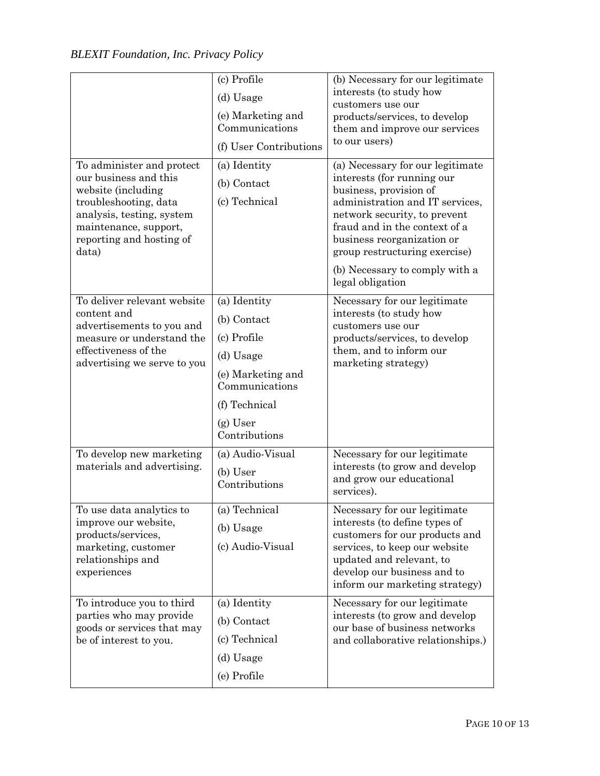|                                                                                                                                                                                              | (c) Profile<br>(d) Usage<br>(e) Marketing and<br>Communications<br>(f) User Contributions                                                      | (b) Necessary for our legitimate<br>interests (to study how<br>customers use our<br>products/services, to develop<br>them and improve our services<br>to our users)                                                                                                                                               |
|----------------------------------------------------------------------------------------------------------------------------------------------------------------------------------------------|------------------------------------------------------------------------------------------------------------------------------------------------|-------------------------------------------------------------------------------------------------------------------------------------------------------------------------------------------------------------------------------------------------------------------------------------------------------------------|
| To administer and protect<br>our business and this<br>website (including<br>troubleshooting, data<br>analysis, testing, system<br>maintenance, support,<br>reporting and hosting of<br>data) | (a) Identity<br>(b) Contact<br>(c) Technical                                                                                                   | (a) Necessary for our legitimate<br>interests (for running our<br>business, provision of<br>administration and IT services,<br>network security, to prevent<br>fraud and in the context of a<br>business reorganization or<br>group restructuring exercise)<br>(b) Necessary to comply with a<br>legal obligation |
| To deliver relevant website<br>content and<br>advertisements to you and<br>measure or understand the<br>effectiveness of the<br>advertising we serve to you                                  | (a) Identity<br>(b) Contact<br>(c) Profile<br>(d) Usage<br>(e) Marketing and<br>Communications<br>(f) Technical<br>$(g)$ User<br>Contributions | Necessary for our legitimate<br>interests (to study how<br>customers use our<br>products/services, to develop<br>them, and to inform our<br>marketing strategy)                                                                                                                                                   |
| To develop new marketing<br>materials and advertising.                                                                                                                                       | (a) Audio-Visual<br>(b) User<br>Contributions                                                                                                  | Necessary for our legitimate<br>interests (to grow and develop<br>and grow our educational<br>services).                                                                                                                                                                                                          |
| To use data analytics to<br>improve our website,<br>products/services,<br>marketing, customer<br>relationships and<br>experiences                                                            | (a) Technical<br>(b) Usage<br>(c) Audio-Visual                                                                                                 | Necessary for our legitimate<br>interests (to define types of<br>customers for our products and<br>services, to keep our website<br>updated and relevant, to<br>develop our business and to<br>inform our marketing strategy)                                                                                     |
| To introduce you to third<br>parties who may provide<br>goods or services that may<br>be of interest to you.                                                                                 | (a) Identity<br>(b) Contact<br>(c) Technical<br>(d) Usage<br>(e) Profile                                                                       | Necessary for our legitimate<br>interests (to grow and develop<br>our base of business networks<br>and collaborative relationships.)                                                                                                                                                                              |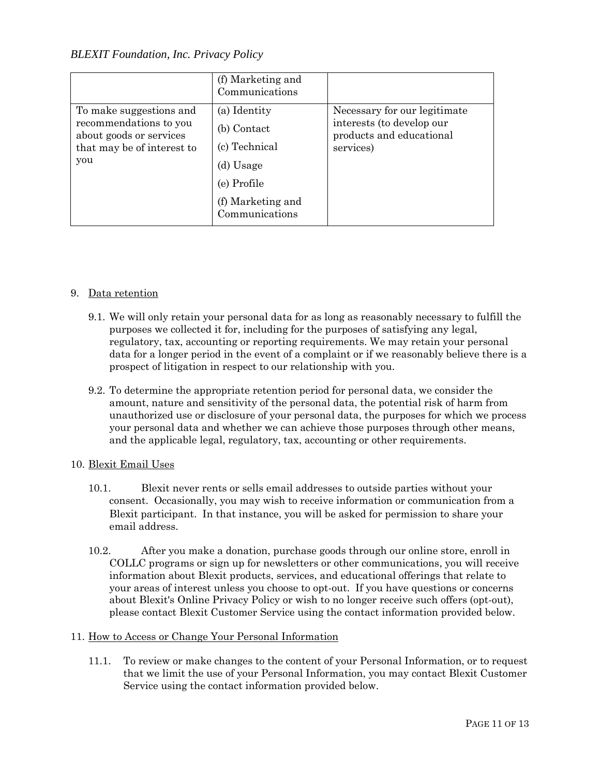|                                                                                                                   | (f) Marketing and<br>Communications                                                                             |                                                                                                    |
|-------------------------------------------------------------------------------------------------------------------|-----------------------------------------------------------------------------------------------------------------|----------------------------------------------------------------------------------------------------|
| To make suggestions and<br>recommendations to you<br>about goods or services<br>that may be of interest to<br>you | (a) Identity<br>(b) Contact<br>(c) Technical<br>(d) Usage<br>(e) Profile<br>(f) Marketing and<br>Communications | Necessary for our legitimate<br>interests (to develop our<br>products and educational<br>services) |

## 9. Data retention

- 9.1. We will only retain your personal data for as long as reasonably necessary to fulfill the purposes we collected it for, including for the purposes of satisfying any legal, regulatory, tax, accounting or reporting requirements. We may retain your personal data for a longer period in the event of a complaint or if we reasonably believe there is a prospect of litigation in respect to our relationship with you.
- 9.2. To determine the appropriate retention period for personal data, we consider the amount, nature and sensitivity of the personal data, the potential risk of harm from unauthorized use or disclosure of your personal data, the purposes for which we process your personal data and whether we can achieve those purposes through other means, and the applicable legal, regulatory, tax, accounting or other requirements.

## 10. Blexit Email Uses

- 10.1. Blexit never rents or sells email addresses to outside parties without your consent. Occasionally, you may wish to receive information or communication from a Blexit participant. In that instance, you will be asked for permission to share your email address.
- 10.2. After you make a donation, purchase goods through our online store, enroll in COLLC programs or sign up for newsletters or other communications, you will receive information about Blexit products, services, and educational offerings that relate to your areas of interest unless you choose to opt-out. If you have questions or concerns about Blexit's Online Privacy Policy or wish to no longer receive such offers (opt-out), please contact Blexit Customer Service using the contact information provided below.

## 11. How to Access or Change Your Personal Information

11.1. To review or make changes to the content of your Personal Information, or to request that we limit the use of your Personal Information, you may contact Blexit Customer Service using the contact information provided below.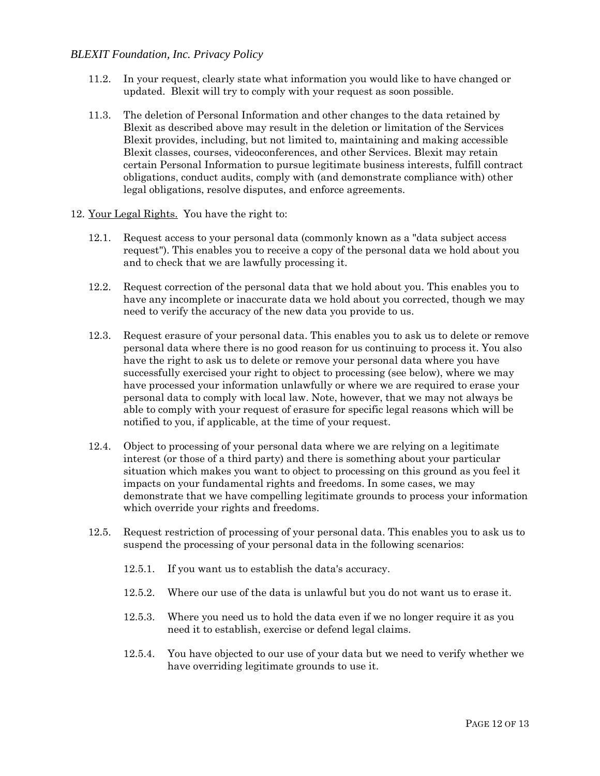- 11.2. In your request, clearly state what information you would like to have changed or updated. Blexit will try to comply with your request as soon possible.
- 11.3. The deletion of Personal Information and other changes to the data retained by Blexit as described above may result in the deletion or limitation of the Services Blexit provides, including, but not limited to, maintaining and making accessible Blexit classes, courses, videoconferences, and other Services. Blexit may retain certain Personal Information to pursue legitimate business interests, fulfill contract obligations, conduct audits, comply with (and demonstrate compliance with) other legal obligations, resolve disputes, and enforce agreements.
- 12. Your Legal Rights. You have the right to:
	- 12.1. Request access to your personal data (commonly known as a "data subject access request"). This enables you to receive a copy of the personal data we hold about you and to check that we are lawfully processing it.
	- 12.2. Request correction of the personal data that we hold about you. This enables you to have any incomplete or inaccurate data we hold about you corrected, though we may need to verify the accuracy of the new data you provide to us.
	- 12.3. Request erasure of your personal data. This enables you to ask us to delete or remove personal data where there is no good reason for us continuing to process it. You also have the right to ask us to delete or remove your personal data where you have successfully exercised your right to object to processing (see below), where we may have processed your information unlawfully or where we are required to erase your personal data to comply with local law. Note, however, that we may not always be able to comply with your request of erasure for specific legal reasons which will be notified to you, if applicable, at the time of your request.
	- 12.4. Object to processing of your personal data where we are relying on a legitimate interest (or those of a third party) and there is something about your particular situation which makes you want to object to processing on this ground as you feel it impacts on your fundamental rights and freedoms. In some cases, we may demonstrate that we have compelling legitimate grounds to process your information which override your rights and freedoms.
	- 12.5. Request restriction of processing of your personal data. This enables you to ask us to suspend the processing of your personal data in the following scenarios:
		- 12.5.1. If you want us to establish the data's accuracy.
		- 12.5.2. Where our use of the data is unlawful but you do not want us to erase it.
		- 12.5.3. Where you need us to hold the data even if we no longer require it as you need it to establish, exercise or defend legal claims.
		- 12.5.4. You have objected to our use of your data but we need to verify whether we have overriding legitimate grounds to use it.